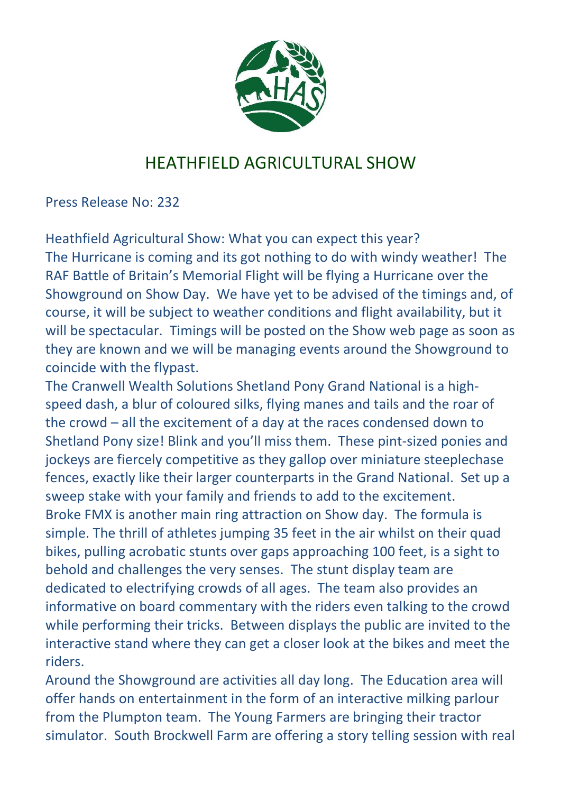

## HEATHFIELD AGRICULTURAL SHOW

Press Release No: 232

Heathfield Agricultural Show: What you can expect this year? The Hurricane is coming and its got nothing to do with windy weather! The RAF Battle of Britain's Memorial Flight will be flying a Hurricane over the Showground on Show Day. We have yet to be advised of the timings and, of course, it will be subject to weather conditions and flight availability, but it will be spectacular. Timings will be posted on the Show web page as soon as they are known and we will be managing events around the Showground to coincide with the flypast.

The Cranwell Wealth Solutions Shetland Pony Grand National is a highspeed dash, a blur of coloured silks, flying manes and tails and the roar of the crowd – all the excitement of a day at the races condensed down to Shetland Pony size! Blink and you'll miss them. These pint-sized ponies and jockeys are fiercely competitive as they gallop over miniature steeplechase fences, exactly like their larger counterparts in the Grand National. Set up a sweep stake with your family and friends to add to the excitement. Broke FMX is another main ring attraction on Show day. The formula is simple. The thrill of athletes jumping 35 feet in the air whilst on their quad bikes, pulling acrobatic stunts over gaps approaching 100 feet, is a sight to behold and challenges the very senses. The stunt display team are dedicated to electrifying crowds of all ages. The team also provides an informative on board commentary with the riders even talking to the crowd while performing their tricks. Between displays the public are invited to the interactive stand where they can get a closer look at the bikes and meet the riders.

Around the Showground are activities all day long. The Education area will offer hands on entertainment in the form of an interactive milking parlour from the Plumpton team. The Young Farmers are bringing their tractor simulator. South Brockwell Farm are offering a story telling session with real